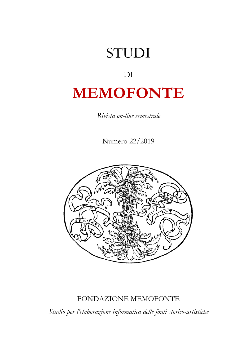# STUDI DI **MEMOFONTE**

*Rivista on-line semestrale*

Numero 22/2019



# FONDAZIONE MEMOFONTE

*Studio per l'elaborazione informatica delle fonti storico-artistiche*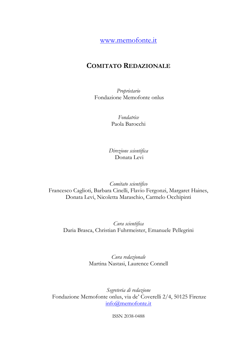[www.memofonte.it](http://www.memofonte.it/)

## **COMITATO REDAZIONALE**

*Proprietario* Fondazione Memofonte onlus

> *Fondatrice* Paola Barocchi

*Direzione scientifica*  Donata Levi

*Comitato scientifico* Francesco Caglioti, Barbara Cinelli, Flavio Fergonzi, Margaret Haines, Donata Levi, Nicoletta Maraschio, Carmelo Occhipinti

*Cura scientifica*  Daria Brasca, Christian Fuhrmeister, Emanuele Pellegrini

> *Cura redazionale*  Martina Nastasi, Laurence Connell

*Segreteria di redazione* Fondazione Memofonte onlus, via de' Coverelli 2/4, 50125 Firenze [info@memofonte.it](mailto:info@memofonte.it)

ISSN 2038-0488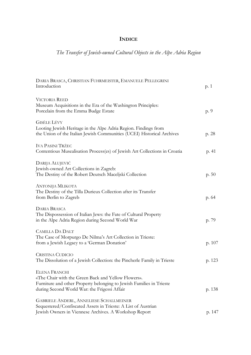### **INDICE**

## *The Transfer of Jewish-owned Cultural Objects in the Alpe Adria Region*

| DARIA BRASCA, CHRISTIAN FUHRMEISTER, EMANUELE PELLEGRINI<br>Introduction                                                                                                                            | p. 1   |
|-----------------------------------------------------------------------------------------------------------------------------------------------------------------------------------------------------|--------|
| <b>VICTORIA REED</b><br>Museum Acquisitions in the Era of the Washington Principles:<br>Porcelain from the Emma Budge Estate                                                                        | p. 9   |
| <b>GISÈLE LÉVY</b><br>Looting Jewish Heritage in the Alpe Adria Region. Findings from<br>the Union of the Italian Jewish Communities (UCEI) Historical Archives                                     | p. 28  |
| <b>IVA PASINI TRŽEC</b><br>Contentious Musealisation Process(es) of Jewish Art Collections in Croatia                                                                                               | p. 41  |
| DARIJA ALUJEVIĆ<br>Jewish-owned Art Collections in Zagreb:<br>The Destiny of the Robert Deutsch Maceljski Collection                                                                                | p.50   |
| ANTONIJA MLIKOTA<br>The Destiny of the Tilla Durieux Collection after its Transfer<br>from Berlin to Zagreb                                                                                         | p. 64  |
| <b>DARIA BRASCA</b><br>The Dispossession of Italian Jews: the Fate of Cultural Property<br>in the Alpe Adria Region during Second World War                                                         | p. 79  |
| <b>CAMILLA DA DALT</b><br>The Case of Morpurgo De Nilma's Art Collection in Trieste:<br>from a Jewish Legacy to a 'German Donation'                                                                 | p. 107 |
| <b>CRISTINA CUDICIO</b><br>The Dissolution of a Jewish Collection: the Pincherle Family in Trieste                                                                                                  | p. 123 |
| <b>ELENA FRANCHI</b><br>«The Chair with the Green Back and Yellow Flowers».<br>Furniture and other Property belonging to Jewish Families in Trieste<br>during Second World War: the Frigessi Affair | p. 138 |
| <b>GABRIELE ANDERL, ANNELIESE SCHALLMEINER</b><br>Sequestered/Confiscated Assets in Trieste: A List of Austrian<br>Jewish Owners in Viennese Archives. A Workshop Report                            | p. 147 |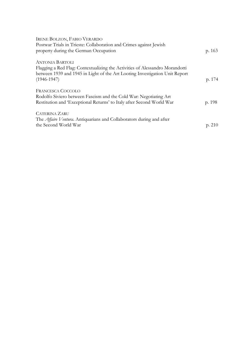| <b>IRENE BOLZON, FABIO VERARDO</b>                                           |        |
|------------------------------------------------------------------------------|--------|
| Postwar Trials in Trieste: Collaboration and Crimes against Jewish           |        |
| property during the German Occupation                                        | p. 163 |
| <b>ANTONIA BARTOLI</b>                                                       |        |
| Flagging a Red Flag: Contextualizing the Activities of Alessandro Morandotti |        |
| between 1939 and 1945 in Light of the Art Looting Investigation Unit Report  |        |
| $(1946 - 1947)$                                                              | p. 174 |
| <b>FRANCESCA COCCOLO</b>                                                     |        |
| Rodolfo Siviero between Fascism and the Cold War: Negotiating Art            |        |
| Restitution and 'Exceptional Returns' to Italy after Second World War        | p. 198 |
| <b>CATERINA ZARU</b>                                                         |        |
| The <i>Affaire Ventura</i> . Antiquarians and Collaborators during and after |        |
| the Second World War                                                         | p. 210 |
|                                                                              |        |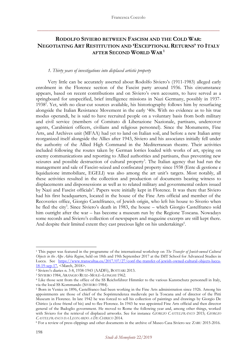#### **RODOLFO SIVIERO BETWEEN FASCISM AND THE COLD WAR: NEGOTIATING ART RESTITUTION AND 'EXCEPTIONAL RETURNS' TO ITALY AFTER SECOND WORLD WAR<sup>1</sup>**

#### *1. Thirty years of investigations into displaced artistic property*

Very little can be accurately asserted about Rodolfo Siviero's (1911-1983) alleged early enrolment in the Florence section of the Fascist party around 1936. This circumstance appears, based on recent contributions and on Siviero's own accounts, to have served as a springboard for unspecified, brief intelligence missions in Nazi Germany, possibly in 1937- 1938<sup>2</sup>. Yet, with no clear-cut sources available, his historiography follows him by resurfacing alongside the Italian Resistance Movement in the early '40s. With no evidence as to his true modus operandi, he is said to have recruited people on a voluntary basis from both military and civil service (members of Comitato di Liberazione Nazionale, partisans, undercover agents, Carabinieri officers, civilians and religious personnel). Since the Monuments, Fine Arts, and Archives unit (MFAA) had yet to land on Italian soil, and before a new Italian army reorganized itself alongside the Allies after 1943, Siviero and his associates initially fell under the authority of the Allied High Command in the Mediterranean theatre. Their activities included following the routes taken by German lorries loaded with works of art, spying on enemy communications and reporting to Allied authorities and partisans, thus preventing new seizures and possible destruction of cultural property<sup>3</sup>. The Italian agency that had run the management and sale of Fascist-seized and confiscated property since 1938 (Ente di gestione e liquidazione immobiliare, EGELI) was also among the art unit's targets. Most notably, all these activities resulted in the collection and production of documents bearing witness to displacements and dispossessions as well as to related military and governmental orders issued by Nazi and Fascist officials<sup>4</sup>. Papers were initially kept in Florence. It was there that Siviero had his first headquarters, located in the house of the Fine Arts official and member of the Recoveries office, Giorgio Castelfranco, of Jewish origin, who left his house to Siverio when he fled the city<sup>5</sup>. Since Siviero's death in 1983, the house – which Giorgio Castelfranco sold him outright after the war – has become a museum run by the Regione Toscana. Nowadays some records and Siviero's collection of newspapers and magazine excerpts are still kept there. And despite their limited extent they cast precious light on his undertakings<sup>6</sup>.

<sup>1</sup> This paper was featured in the programme of the international workshop on *The Transfer of Jewish-owned Cultural Objects in the Alpe Adria Region*, held on 18th and 19th September 2017 at the IMT School for Advanced Studies in Lucca. See [https://www.transcultaa.eu/2017/07/27/conf-the-transfer-of-jewish-owned-cultural-objects-lucca-](https://www.transcultaa.eu/2017/07/27/conf-the-transfer-of-jewish-owned-cultural-objects-lucca-18-19-sep-17)[18-19-sep-17,](https://www.transcultaa.eu/2017/07/27/conf-the-transfer-of-jewish-owned-cultural-objects-lucca-18-19-sep-17) <March, 2018>.

<sup>2</sup> Siviero's diaries n. 3-8, 1938-1943 (AADFi), BOTTARI 2013.

<sup>3</sup> SIVIERO 1984, ARANGIO RUIZ–MOLÈ–LONGHI 1962.

<sup>4</sup> Like those sent from the office of the SS Reichsführer Himmler to the various Kunstschutz personnell in Italy, via the local SS Kommando (SIVIERO 1984).

<sup>5</sup> Born in Venice in 1896, Castelfranco had been working in the Fine Arts administration since 1926. Among his appointments are those of chief of the Soprintendenza medievale per la Toscana and of director of the Pitti Museum in Florence. In late 1942 he was forced to sell his collection of paintings and drawings by Giorgio De Chirico (a close friend of his) and to flee Florence. In 1943 he was appointed Fine Arts official and then director general of the Badoglio government. He moved to Rome the following year and, among other things, worked with Siviero for the retrieval of displaced artworks. See for instance *GIORGIO CASTELFRANCO* 2015; *GIORGIO CASTELFRANCO DA LEONARDO A DE CHIRICO* 2014.

<sup>6</sup> For a review of press clippings and other documents in the archive of Museo Casa Siviero see ZARU 2015-2016.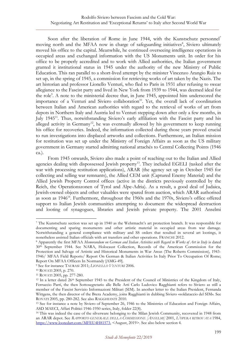Soon after the liberation of Rome in June 1944, with the Kunstschutz personnel<sup>7</sup> moving north and the MFAA now in charge of safeguarding initiatives<sup>8</sup>, Siviero ultimately moved his office to the capital. Meanwhile, he continued overseeing intelligence operations in occupied areas and exchanged information with the US Monuments unit. In order for his office to be properly accredited and to work with Allied authorities, the Italian government granted it institutional status in 1945 under the authority of the new Ministry of Public Education. This ran parallel to a short-lived attempt by the minister Vincenzo Arangio Ruiz to set up, in the spring of 1945, a commission for retrieving works of art taken by the Nazis. The art historian and professor Lionello Venturi, who fled to Paris in 1931 after refusing to swear allegiance to the Fascist party and lived in New York from 1939 to 1944, was deemed ideal for the role<sup>9</sup>. A note to the ministerial decree that, in June 1945, appointed him underscored the importance of a Venturi and Siviero collaboration<sup>10</sup>. Yet, the overall lack of coordination between Italian and American authorities with regard to the retrieval of works of art from depots in Northern Italy and Austria led to Venturi stepping down after only a few months, in July 1945<sup>11</sup>. Thus, notwithstanding Siviero's early affiliation with the Fascist party and his alleged activity in Germany<sup>12</sup>, he was eventually allowed by his government to keep running his office for recoveries. Indeed, the information collected during those years proved crucial to run investigations into displaced artworks and collections. Furthermore, an Italian mission for restitution was set up under the Ministry of Foreign Affairs as soon as the US military government in Germany started admitting national attachés to Central Collecting Points (1946 ca.).

From 1945 onwards, Siviero also made a point of reaching out to the Italian and Allied agencies dealing with dispossessed Jewish property<sup>13</sup>. They included EGELI (tasked after the war with processing restitution applications), ARAR (the agency set up in October 1945 for collecting and selling war remnants), the Allied CEM unit (Captured Enemy Material) and the Allied Jewish Property Control offices (active in the districts previously controlled by the Reich, the Operationszonen of Tyrol and Alpe-Adria). As a result, a good deal of Judaica, Jewish-owned objects and other valuables were spared from auction, which ARAR authorised as soon as 1946<sup>14</sup>. Furthermore, throughout the 1960s and the 1970s, Siviero's office offered support to Italian Jewish communities attempting to document the widespread destruction and looting of synagogues, libraries and Jewish private property. The 2001 Anselmi

<sup>7</sup> The Kunstschutz section was set up in 1940 as the Wehrmacht's art protection branch. It was responsible for documenting and sparing monuments and other artistic material in occupied areas from war damage. Notwithstanding a general compliance with military and SS orders that resulted in several art lootings, it nonetheless assisted Italian officials with art transfers and other operations. FRANCHI 2012.

<sup>8</sup> Apparently the first MFAA *Memorandum on German and Italian Activities with Regard to Works of Art in Italy* is dated 30th September 1944. See NARA, Holocaust Collection, Records of the American Commission for the Protection and Salvage of Artistic and Historical Monuments in War Areas (The Roberts Commission), 1943- 1946/ MFAA Field Reports/ Report On German & Italian Activities In Italy Prior To Occupation Of Rome; Report On MFAA Officers In Normandy [AMG-49].

<sup>9</sup> See for instance TAURASI 2011; *LIONELLO VENTURI* 2006.

<sup>10</sup> ROVATI 2005, p. 270.

<sup>11</sup> ROVATI 2005, pp. 277-280.

<sup>&</sup>lt;sup>12</sup> In a letter dated 26<sup>th</sup> September 1945 to the President of the Council of Ministries of the Kingdom of Italy, Ferruccio Parri, the then Sottosegretario alle Belle Arti Carlo Ludovico Ragghianti refers to Siviero as still a member of the Fascist Servizio Informazioni Militari (SIM). In another letter to the Italian President, Fernanda Wittgens, the then director of the Brera Academy, joins Ragghianti in dubbing Siviero «soldataccio del SIM». See ROVATI 2005, pp. 280-282. See also RAGGHIANTI 2010.

<sup>&</sup>lt;sup>13</sup> See for instance a note by Siviero of September 26, 1946 to the Ministries of Education and Foreign Affairs, ASD MAECI, Affari Politici 1946-1950 series, Italy, folder 22(8).

<sup>14</sup> This was indeed the case of the silverware belonging to the Milan Jewish Community, recovered in 1948 from an ARAR depot. See *RAPPORTO GENERALE DELLA COMMISSIONE [ANSELMI]* 2001, *L'OPERA RITROVATA* 1984, [https://www.lootedart.com/MFEU4H81573,](https://www.lootedart.com/MFEU4H81573) <August, 2019>. See also below section 4.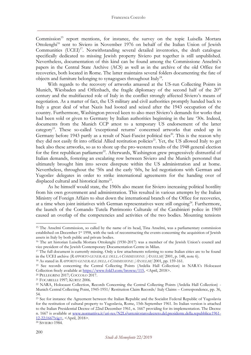Commission<sup>15</sup> report mentions, for instance, the survey on the topic Luisella Mortara Ottolenghi<sup>16</sup> sent to Siviero in November 1976 on behalf of the Italian Union of Jewish Communities  $(UCEI)^{17}$ . Notwithstanding several detailed inventories, the draft catalogue specifically dedicated to missing Jewish property Siviero put together is still unpublished. Nevertheless, documentation of this kind can be found among the Commissione Anselmi's papers in the Central State Archive (ACS) as well as in the archive of the old Office for recoveries, both located in Rome. The latter maintains several folders documenting the fate of objects and furniture belonging to synagogues throughout Italy<sup>18</sup>.

With regards to the recovery of artworks amassed at the US-run Collecting Points in Munich, Wiesbaden and Offenbach, the fragile diplomacy of the second half of the 20<sup>th</sup> century and the multifaceted role of Italy in the conflict strongly affected Siviero's means of negotiation. As a matter of fact, the US military and civil authorities promptly handed back to Italy a great deal of what Nazis had looted and seized after the 1943 occupation of the country. Furthermore, Washington proved keen to also meet Siviero's demands for works that had been sold or given to Germany by Italian authorities beginning in the late '30s. Indeed, documents from the Munich CCP attest to a temporary US endorsement of the latter category<sup>19</sup>. These so-called 'exceptional returns' concerned artworks that ended up in Germany before 1943 partly as a result of Nazi-Fascist political ties<sup>20</sup>. This is the reason why they did not easily fit into official Allied restitution policies<sup>21</sup>. Yet, the US allowed Italy to get back also these artworks, so as to shore up the pro-western results of the 1948 general election for the first republican parliament<sup>22</sup>. Afterwards, Washington grew progressively distrustful of Italian demands, fostering an escalating row between Siviero and the Munich personnel that ultimately brought him into severe disrepute within the US administration and at home. Nevertheless, throughout the '50s and the early '60s, he led negotiations with German and Yugoslav delegates in order to strike international agreements for the handing over of displaced cultural and historical items<sup>23</sup>.

As he himself would state, the 1960s also meant for Siviero increasing political hostility from his own government and administration. This resulted in various attempts by the Italian Ministry of Foreign Affairs to shut down the international branch of the Office for recoveries, at a time when joint initiatives with German representatives were still ongoing<sup>24</sup>. Furthermore, the launch of the Comando Tutela Patrimonio Culturale of the Carabinieri police in 1969 caused an overlap of the competencies and activities of the two bodies. Mounting tensions

<sup>&</sup>lt;sup>15</sup> The Anselmi Commission, so called by the name of its head, Tina Anselmi, was a parliamentary commission established on December 1st 1998, with the task of reconstructing the events concerning the acquisition of Jewish assets in Italy by both public and private bodies.

<sup>16</sup> The art historian Luisella Mortara Ottolenghi (1930-2017) was a member of the Jewish Union's council and vice president of the Jewish Contemporary Documentation Centre in Milan.

<sup>&</sup>lt;sup>17</sup> The full document is currently missing. Only a few attachments referring to some Italian cities are to be found in the UCEI archive (*RAPPORTO GENERALE DELLA COMMISSIONE [ANSELMI]* 2001, p. 148, note 6).

<sup>18</sup> As stated in *RAPPORTO GENERALE DELLA COMMISSIONE [ANSELMI]* 2001, pp. 159-161.

<sup>&</sup>lt;sup>19</sup> See records concerning the Central Collecting Points (Ardelia Hall Collection) in NARA's Holocaust Collection freely available at [https://www.fold3.com/browse/115,](https://www.fold3.com/browse/115) <April, 2018>.

<sup>20</sup> PELLEGRINI 2017; COCCOLO 2017.

<sup>21</sup> FOCARELLI 1997; KURTZ 2006.

<sup>22</sup> NARA, Holocaust Collection, Records Concerning the Central Collecting Points (Ardelia Hall Collection) - Munich Central Collecting Point, 1945-1951/ Restitution Claim Records/ Italy Claims – Correspondence, pp. 36, 54.

<sup>&</sup>lt;sup>23</sup> See for instance the Agreement between the Italian Republic and the Socialist Federal Republic of Yugoslavia for the restitution of cultural property to Yugoslavia, Rome, 15th September 1961. Its Italian version is attached to the Italian Presidential Decree of 22nd December 1961, n. 1667 providing for its implementation. The Decree n. 1667 is available at [www.normattiva.it/uri-res/N2Ls?urn:nir:stato:decreto.del.presidente.della.repubblica:1961-](http://www.normattiva.it/uri-res/N2Ls?urn:nir:stato:decreto.del.presidente.della.repubblica:1961-12-22;1667!vig=) [12-22;1667!vig=,](http://www.normattiva.it/uri-res/N2Ls?urn:nir:stato:decreto.del.presidente.della.repubblica:1961-12-22;1667!vig=) <April, 2018>.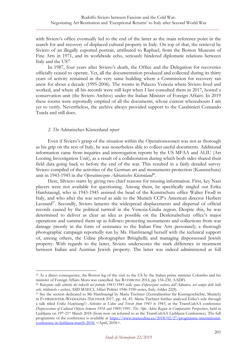with Siviero's office eventually led to the end of the latter as the main reference point in the search for and recovery of displaced cultural property in Italy. On top of that, the retrieval by Siviero of an illegally exported portrait, attributed to Raphael, from the Boston Museum of Fine Arts in 1971, and its worldwide echo, seriously hindered diplomatic relations between Italy and the  $US^{25}$ .

In 1987, four years after Siviero's death, the Office and the Delegation for recoveries officially ceased to operate. Yet, all the documentation produced and collected during its thirty years of activity remained in the very same building where a Commission for recovery ran anew for about a decade (1995-2006). The rooms in Palazzo Venezia where Siviero lived and worked, and where all his records were still kept when I last consulted them in 2017, hosted a conservation unit (the Siviero Archive) under the Italian Minister of Foreign Affairs. In 2019 these rooms were reportedly emptied of all the documents, whose current whereabouts I am yet to verify. Nevertheless, the archive always provided support to the Carabinieri Comando Tutela and still does.

#### *2. The* Adriatisches Küstenland *report*

Even if Siviero's grasp of the situation within the Operationszonen was not as thorough as his grip on the rest of Italy, he was nonetheless able to collect useful documents. Additional information came from inquiries and interrogation reports by the US MFAA and ALIU (Art Looting Investigation Unit), as a result of a collaboration during which both sides shared their field data going back to before the end of the war. This resulted in a fairly detailed survey Siviero compiled of the activities of the German art and monuments protection (Kunstschutz) unit in 1943-1945 in the Operationszone Adriatisches Küstenland<sup>es</sup>.

Here, Silviero starts by giving two chief reasons for missing information. First, key Nazi players were not available for questioning. Among them, he specifically singled out Erika Hanfstaengl, who in 1943-1945 assisted the head of the Kunstschutz office Walter Frodl in Italy, and who after the war served as aide to the Munich CCP's American director Herbert Leonard<sup>27</sup>. Secondly, Siviero laments the widespread displacements and dispersal of official records caused by the political turmoil in the Venezia-Giulia region. Despite this, he was determined to deliver as clear an idea as possible on the Denkmalschutz office's major operations and summed them up as follows: protecting monuments and collections from war damage (mostly in the form of assistance to the Italian Fine Arts personnel); a thorough photographic campaign reportedly run by Ms. Hanfstaengl herself with the technical support of, among others, the Udine photographer Brisighelli; and managing dispossessed Jewish property. With regards to the latter, Siviero underscores the stark difference in treatment between Italian and Austrian Jewish property. The latter was indeed administered as full

<sup>&</sup>lt;sup>25</sup> As a direct consequence, the Boston leg of the visit to the US by the Italian prime minister Colombo and his minister of Foreign Affairs Moro was cancelled. See RATHBONE 2014, pp. 154-230, AADFi.

<sup>26</sup> *Relazione sulle attività dei tedeschi nel periodo 1943/1945 nella zona d'operazioni costiera dell'Adriatico, nel campo delle belle arti, biblioteche e archivi*, ASD MAECI, Affari Politici 1946-1950 series, Italy, folder 22(8).

<sup>27</sup> See the section dedicated to Ms Hanfstaengl by Maria Tischner (Zentralinstitut für Kunstgeschichte, Munich) in FUHRMEISTER–WEDEKIND–TISCHNER 2017, pp. 44, 45. Maria Tischner further analysed Erika's role through a talk titled *Erika Hanfstaengl's Activities in Udine and Trieste from 1943 to 1945*, at the TransCultAA conference *Dispossessions of Cultural Objects between 1914 and 1989/1991. The Alpe Adria Region in Comparative Perspectives*, held in Ljubljana on 19th -21st March 2018 (from now on referred to as the TransCultAA Ljubljana Conference). The full programme of the conference is available at [https://www.transcultaa.eu/2018/02/27/programme-international](https://www.transcultaa.eu/2018/02/27/programme-international-conference-in-ljubljana-march-2018)[conference-in-ljubljana-march-2018,](https://www.transcultaa.eu/2018/02/27/programme-international-conference-in-ljubljana-march-2018) <April, 2018>.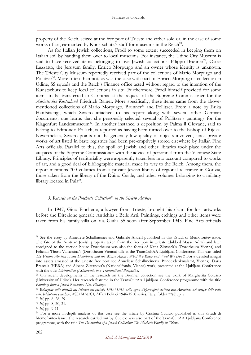property of the Reich, seized at the free port of Trieste and either sold or, in the case of some works of art, earmarked by Kunstschutz's staff for museums in the Reich<sup>28</sup>.

As for Italian Jewish collections, Frodl to some extent succeeded in keeping them on Italian soil by handing them over to local museums. For instance, the Udine City Museum is said to have received items belonging to five Jewish collections: Filippo Brunner<sup>29</sup>, Oscar Luzzatto, the Jerusum family, Enrico Morpurgo and an owner whose identity is unknown. The Trieste City Museum reportedly received part of the collections of Mario Morpurgo and Pollitzer<sup>30</sup>. More often than not, as was the case with part of Enrico Morpurgo's collection in Udine, SS squads and the Reich's Finance office acted without regard to the intention of the Kunstschutz to keep local collections in situ. Furthermore, Frodl himself provided for some items to be transferred to Carinthia at the request of the Supreme Commissioner for the *Adriatisches Küstenland* Friedrich Rainer. More specifically, these items came from the abovementioned collections of Mario Morpurgo, Brunner<sup>31</sup> and Pollitzer. From a note by Erika Hanfstaengl, which Siviero attached to his report along with several other German documents, one learns that she personally selected several of Pollitzer's paintings for the Klagenfurt Landesmuseum<sup>32</sup>. In another instance, a deposition by Palma il Giovane, said to belong to Edmondo Pollach, is reported as having been turned over to the bishop of Rijeka. Nevertheless, Siviero points out the generally low quality of objects involved, since private works of art listed in State registries had been pre-emptively stored elsewhere by Italian Fine Arts officials. Parallel to this, the spoil of Jewish and other libraries took place under the auspices of the Supreme Commissioner with the advice of personnel from the Viennese State Library. Principles of territoriality were apparently taken less into account compared to works of art, and a good deal of bibliographic material made its way to the Reich. Among them, the report mentions 700 volumes from a private Jewish library of regional relevance in Gorizia, those taken from the library of the Duino Castle, and other volumes belonging to a military library located in Pula<sup>33</sup>.

#### *3. Records on the Pincherle Collection<sup>34</sup> in the Siviero Archive*

In 1947, Gino Pincherle, a lawyer from Trieste, brought his claim for lost artworks before the Direzione generale Antichità e Belle Arti. Paintings, etchings and other items were taken from his family villa on Via Giulia 55 soon after September 1943. Fine Arts officials

<sup>28</sup> See the essay by Anneliese Schallmeiner and Gabriele Anderl published in this «Studi di Memofonte» issue. The fate of the Austrian Jewish property taken from the free port in Trieste (dubbed Masse Adria) and later consigned to the auction house Dorotheum was also the focus of Katja Zirnsack's (Dorotheum Vienna) and Felicitas Thurn-Valsassina's (Dorotheum Vienna) talk at the TransCultAA Ljubljana Conference. This was titled *The Vienna Auction House Dorotheum and the 'Masse Adria': What We Know and What We Don't*. For a detailed insight into assets amassed at the Trieste free port see Anneliese Schallmeiner's (Bundesdenkmalamt, Vienna), Daria Brasca's (HERA) and Albena Zlatanova's (Nationalfonds, Vienna) work, presented at the Ljubljana Conference with the title: *Distribution of Shipments in a Transnational Perspective.* 

<sup>&</sup>lt;sup>29</sup> On recent developments in the research on the Brunner collection see the work of Margherita Colusso (University of Udine). Her research featured in the TransCultAA Ljubljana Conference programme with the title *Paintings from a Jewish Residence: New Findings*.

<sup>30</sup> *Relazione sulle attività dei tedeschi nel periodo 1943/1945 nella zona d'operazioni costiera dell'Adriatico, nel campo delle belle arti, biblioteche e archivi*, ASD MAECI, Affari Politici 1946-1950 series, Italy, folder 22(8), p. 7.

<sup>31</sup> *Ivi*, pp. 8, 28, 29.

<sup>32</sup> *Ivi*, pp. 8, 30, 31.

<sup>33</sup> *Ivi*, pp. 9-11.

<sup>34</sup> For a more in-depth analysis of this case see the article by Cristina Cudicio published in this «Studi di Memofonte» issue. The research carried out by Cudicio was also part of the TransCultAA Ljubljana Conference programme, with the title *The Dissolution of a Jewish Collection: The Pincherle Family in Trieste*.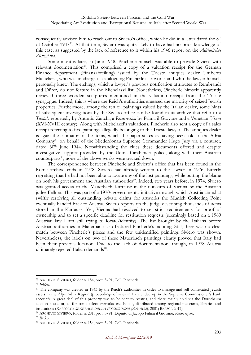consequently advised him to reach out to Siviero's office, which he did in a letter dated the 8<sup>th</sup> of October 1947<sup>35</sup>. At that time, Siviero was quite likely to have had no prior knowledge of this case, as suggested by the lack of reference to it within his 1946 report on the *Adriatisches Küstenland*.

Some months later, in June 1948, Pincherle himself was able to provide Siviero with relevant documentation<sup>36</sup>. This comprised a copy of a valuation receipt for the German Finance department (Finanzabteilung) issued by the Trieste antiques dealer Umberto Michelazzi, who was in charge of cataloguing Pincherle's artworks and who the lawyer himself personally knew. The etchings, which a lawyer's previous notification attributes to Rembrandt and Dürer, do not feature in the Michelazzi list. Nonetheless, Pincherle himself apparently retrieved three wooden sculptures mentioned in the valuation receipt from the Trieste synagogue. Indeed, this is where the Reich's authorities amassed the majority of seized Jewish properties. Furthermore, among the ten oil paintings valued by the Italian dealer, some hints of subsequent investigations by the Siviero office can be found in its archive that refer to a *Tantalo* reportedly by Antonio Zanchi, a *Resurrection* by Palma il Giovane and a Venetian *Venus* (XVI-XVIII century). Along with Michelazzi's valuations, Pincherle also sent a copy of a sales receipt referring to five paintings allegedly belonging to the Trieste lawyer. The antiques dealer is again the estimator of the items, which the paper states as having been sold to the Adria Company<sup>37</sup> on behalf of the Niederdonau Supreme Commander Hugo Jury via a contract, dated 30th June 1944. Notwithstanding the clues these documents offered and despite investigative support provided by the Udine Carabinieri police, along with their Austrian counterparts<sup>38</sup>, none of the above works were tracked down.

The correspondence between Pincherle and Siviero's office that has been found in the Rome archive ends in 1978. Siviero had already written to the lawyer in 1976, bitterly regretting that he had not been able to locate any of the lost paintings, while putting the blame on both his government and Austrian authorities<sup>39</sup>. Indeed, two years before, in 1974, Siviero was granted access to the Mauerbach Kartause in the outskirts of Vienna by the Austrian judge Fellner. This was part of a 1970s governmental initiative through which Austria aimed at swiftly resolving all outstanding private claims for artworks the Munich Collecting Point eventually handed back to Austria. Siviero reports on the judge describing thousands of items stored in the Kartause. Yet, Vienna had resolved to set strict requirements for proof of ownership and to set a specific deadline for restitution requests (seemingly based on a 1969 Austrian law I am still trying to locate/identify). The list brought by the Italians before Austrian authorities in Mauerbach also featured Pincherle's painting. Still, there was no clear match between Pincherle's pieces and the few unidentified paintings Siviero was shown. Nevertheless, the labels on two of these Mauerbach paintings clearly proved that Italy had been their previous location. Due to the lack of documentation, though, in 1978 Austria ultimately rejected Italian demands<sup>40</sup>.

<sup>38</sup> ARCHIVIO SIVIERO, folder n. 281, prot. 3/91, Dipinto di Jacopo Palma il Giovane, *Resurrezione*.

<sup>39</sup> *Ibidem*.

<sup>35</sup> ARCHIVIO SIVIERO, folder n. 154, prot. 3/91, Coll. Pincherle.

<sup>36</sup> *Ibidem.*

<sup>&</sup>lt;sup>37</sup> The company was created in 1943 by the Reich's authorities in order to manage and sell confiscated Jewish assets in the Alpe Adria Region (proceedings of sales in Italy ended up in the Supreme Commissioner's bank account). A great deal of this property was to be sent to Austria, and there mainly sold via the Dorotheum auction house or, as for some select artworks and books, distributed among regional museums, libraries and institutions (*RAPPORTO GENERALE DELLA COMMISSIONE [ANSELMI]* 2001; BRASCA 2017).

<sup>40</sup> ARCHIVIO SIVIERO, folder n. 154, prot. 3/91, Coll. Pincherle.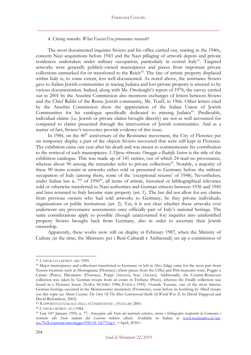#### *4. Closing remarks. What Fascist-Era provenance research?*

The most documented inquiries Siviero and his office carried out, starting in the 1940s, concern Nazi acquisitions before 1943 and the Nazi pillaging of artwork depots and private residences undertaken under military occupation, particularly in central Italy<sup>41</sup>. Targeted artworks were generally publicly-owned masterpieces and pieces from important private collections earmarked for or transferred to the Reich<sup>42</sup>. The fate of artistic property displaced within Italy is, to some extent, less well-documented. As noted above, the assistance Siviero gave to Italian Jewish communities in tracing Judaica and lost private property is attested to by various documentation. Indeed, along with Ms. Ottolenghi's report of 1976, the survey carried out in 2001 by the Anselmi Commission also mentions exchanges of letters between Siviero and the Chief Rabbi of the Rome Jewish community, Mr. Toaff, in 1966. Other letters cited by the Anselmi Commission show the appreciation of the Italian Union of Jewish Communities for his catalogue specifically dedicated to missing Judaica<sup>43</sup>. Predictably, individual claims (i.e. Jewish or private claims brought directly) are not as well accounted for compared to claims presented through the intervention of Jewish communities. And as a matter of fact, Siviero's recoveries provide evidence of this issue.

In 1984, on the 40<sup>th</sup> anniversary of the Resistance movement, the City of Florence put on temporary display a part of the objects Siviero recovered that were still kept in Florence. The exhibition came one year after his death and was meant to commemorate his contribution to the retrieval of such masterpieces. *L'Opera ritrovata. Omaggio a Rodolfo Siviero* is the title of the exhibition catalogue. This was made up of 141 entries, out of which 24 read no provenance, whereas about 90 among the remainder refer to private collections<sup>44</sup>. Notably, a majority of these 90 items consist in artworks either sold or presented to Germany before the military occupation of Italy (among them, some of the 'exceptional returns' of 1948). Nevertheless, under Italian law n. 77 of 1950<sup>45</sup>, all items of artistic, historical or bibliographical relevance sold or otherwise transferred to Nazi authorities and German citizens between 1936 and 1945 and later returned to Italy became state property (art. 1). The law did not allow for any claims from previous owners who had sold artworks to Germany, be they private individuals, organisations or public institutions (art. 2). Yet, it is not clear whether these artworks ever underwent any provenance assessments once officially part of Italy's national heritage. The same considerations apply to possible (though unaccounted for) inquiries into unidentified property Siviero brought back from Germany, also in order to ascertain their Jewish ownership.

Apparently, these works were still on display in February 1987, when the Ministry of Culture (at the time, the Ministero per i Beni Culturali e Ambientali) set up a commission of

<sup>41</sup> *L'OPERA DA RITROVARE* 1995.

<sup>&</sup>lt;sup>42</sup> Major masterpieces and collections transferred to Germany or left in Alto Adige came for the most part from Tuscan locations such as Montagnana (Florence), where pieces from the Uffizi and Pitti museums were, Poggio a Caiano (Prato), Dicomano (Florence), Poppi (Arezzo), Soci (Arezzo). Additionally, the Contini-Bonacossi collection was taken by German troops from an estate in Trefiano (Prato), whereas the Finally collection was found in a Florence house (NARA; SIVIERO 1984; FASOLA 1945). Outside Tuscany, one of the most famous German lootings occurred in the Montecassino monastery (Frosinone), soon before its bombing by Allied troops (on this topic see *Monte Cassino: The Story Of The Most Controversial Battle Of World War II*, by David Hapgood and David Richardson, 2002).

<sup>43</sup> *RAPPORTO GENERALE DELLA COMMISSIONE [ANSELMI]* 2001.

<sup>44</sup> *L'OPERA RITROVATA* 1984.

<sup>45</sup> Law 14th January 1950, n. 77*, Avocazione allo Stato del materiale artistico, storico e bibliografico recuperato in Germania e restituito allo Stato italiano dal Governo militare alleato*. Available in Italian at [www.normattiva.it/uri](http://www.normattiva.it/uri-res/N2Ls?urn:nir:stato:legge:1950-01-14;77!vig=)[res/N2Ls?urn:nir:stato:legge:1950-01-14;77!vig=,](http://www.normattiva.it/uri-res/N2Ls?urn:nir:stato:legge:1950-01-14;77!vig=) <April, 2018>.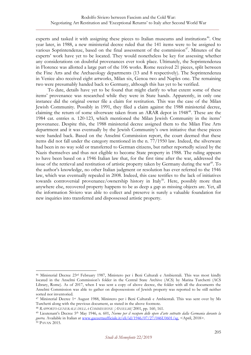experts and tasked it with assigning these pieces to Italian museums and institutions<sup>46</sup>. One year later, in 1988, a new ministerial decree ruled that the 141 items were to be assigned to various Soprintendenze, based on the final assessment of the commission<sup>47</sup>. Minutes of the experts' work have yet to be located. They would nonetheless be key for assessing whether any considerations on doubtful provenances ever took place. Ultimately, the Soprintendenza in Florence was allotted a large part of the 106 works. Rome received 21 pieces, split between the Fine Arts and the Archaeology departments (13 and 8 respectively). The Soprintendenza in Venice also received eight artworks, Milan six, Genoa two and Naples one. The remaining two were presumably handed back to Germany, although this has yet to be verified.

To date, details have yet to be found that might clarify to what extent some of these items' provenance was researched while they were in State hands. Apparently, in only one instance did the original owner file a claim for restitution. This was the case of the Milan Jewish Community. Possibly in 1991, they filed a claim against the 1988 ministerial decree, claiming the return of some silverware taken from an ARAR depot in 1948<sup>48</sup>. These are the 1984 cat. entries n. 120-123, which mentioned the Milan Jewish Community in the items' provenance. Despite this, the 1988 ministerial decree assigned them to the Milan Fine Arts department and it was eventually by the Jewish Community's own initiative that these pieces were handed back. Based on the Anselmi Commission report, the court deemed that these items did not fall under the category mentioned in the n. 77/1950 law. Indeed, the silverware had been in no way sold or transferred to German citizens, but rather reportedly seized by the Nazis themselves and thus not eligible to become State property in 1988. The ruling appears to have been based on a 1946 Italian law that, for the first time after the war, addressed the issue of the retrieval and restitution of artistic property taken by Germany during the war<sup>49</sup>. To the author's knowledge, no other Italian judgment or resolution has ever referred to the 1946 law, which was eventually repealed in 2008. Indeed, this case testifies to the lack of initiatives towards controversial provenance/ownership history in Italy<sup>50</sup>. Here, possibly more than anywhere else, recovered property happens to be as deep a gap as missing objects are. Yet, all the information Siviero was able to collect and preserve is surely a valuable foundation for new inquiries into transferred and dispossessed artistic property.

<sup>46</sup> Ministerial Decree 23rd February 1987, Ministero per i Beni Culturali e Ambientali. This was most kindly located in the Anselmi Commission's folder in the Central State Archive (ACS) by Marina Turchetti (ACS Library, Rome). As of 2017, when I was sent a copy of above decree, the folder with all the documents the Anselmi Commission was able to gather on dispossessions of Jewish property was reported to be still neither sorted nor inventoried.

<sup>47</sup> Ministerial Decree 1st August 1988, Ministero per i Beni Culturali e Ambientali. This was sent over by Ms Turchetti along with the previous document, as stated in the above footnote.

<sup>48</sup> *RAPPORTO GENERALE DELLA COMMISSIONE [ANSELMI]* 2001, pp. 160, 161.

<sup>49</sup> Lieutenant's Decree 5th May 1946, n. 601, *Norme per il recupero delle opere d'arte sottratte dalla Germania durante la guerra.* Available in Italian at [www.gazzettaufficiale.it/eli/id/1946/07/27/046U0601/sg,](http://www.gazzettaufficiale.it/eli/id/1946/07/27/046U0601/sg) <April, 2018>. <sup>50</sup> PAVAN 2015.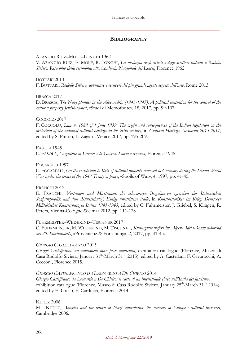#### **BIBLIOGRAPHY**

#### ARANGIO RUIZ–MOLÈ–LONGHI 1962

V. ARANGIO RUIZ, E. MOLÈ, R. LONGHI, *La medaglia degli artisti e degli scrittori italiani a Rodolfo Siviero. Resoconto della cerimonia all'Accademia Nazionale dei Lincei*, Florence 1962.

#### BOTTARI 2013 F. BOTTARI, *Rodolfo Siviero, avventure e recuperi del più grande agente segreto dell'arte*, Rome 2013.

#### BRASCA 2017

D. BRASCA, *The Nazi plunder in the Alpe Adria (1943-1945): A political contention for the control of the cultural property Jewish-owned*, «Studi di Memofonte», 18, 2017, pp. 99-107.

#### COCCOLO 2017

F. COCCOLO, *Law n. 1089 of 1 June 1939. The origin and consequences of the Italian legislation on the protection of the national cultural heritage in the 20th century*, in *Cultural Heritage. Scenarios 2015-2017*, edited by S. Pinton, L. Zagato, Venice 2017, pp. 195-209.

#### FASOLA 1945

C. FASOLA, *Le gallerie di Firenze e la Guerra. Storia e cronaca*, Florence 1945.

#### FOCARELLI 1997

C. FOCARELLI, *On the restitution to Italy of cultural property removed to Germany during the Second World War under the terms of the 1947 Treaty of peace*, «Spoils of War», 4, 1997, pp. 41-45.

#### FRANCHI 2012

E. FRANCHI, *Vertrauen und Misstrauen: die schwierigen Beziehungen zwischen der Italienischen Sozialrepublik und dem 'Kunstschutz'. Einige umstrittene Fälle*, in *Kunsthistoriker im Krieg. Deutscher Militärischer Kunstschutz in Italien 1943-1945*, edited by C. Fuhrmeister, J. Griebel, S. Klingen, R. Peters, Vienna-Cologne-Weimar 2012, pp. 111-128.

#### FUHRMEISTER–WEDEKIND–TISCHNER 2017

C. FUHRMEISTER, M. WEDEKIND, M. TISCHNER, *Kulturguttransfers im Alpen-Adria-Raum während des 20. Jahrhunderts*, «Provenienz & Forschung», 2, 2017, pp. 41-45.

#### *GIORGIO CASTELFRANCO* 2015

*Giorgio Castelfranco: un monument man poco conosciuto*, exhibition catalogue (Florence, Museo di Casa Rodolfo Siviero, January 31<sup>th</sup>-March 31<sup>th</sup> 2015), edited by A. Castellani, F. Cavarocchi, A. Cecconi, Florence 2015.

#### *GIORGIO CASTELFRANCO DA LEONARDO A DE CHIRICO* 2014

*Giorgio Castelfranco da Leonardo a De Chirico: le carte di un intellettuale ebreo nell'Italia del fascismo*, exhibition catalogue (Florence, Museo di Casa Rodolfo Siviero, January 25<sup>th</sup>-March 31<sup>th</sup> 2014), edited by E. Greco, F. Carducci, Florence 2014.

#### KURTZ 2006

M.J. KURTZ, *America and the return of Nazi contraband: the recovery of Europe's cultural treasures*, Cambridge 2006.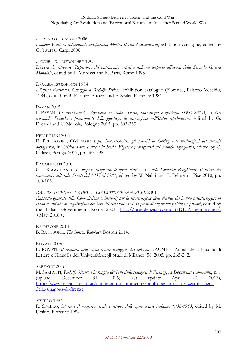#### *LIONELLO VENTURI* 2006

*Lionello Venturi: intellettuale antifascista, Mostra storico-documentaria*, exhibition catalogue, edited by G. Taurasi, Carpi 2006.

#### *L'OPERA DA RITROVARE* 1995

*L'opera da ritrovare. Repertorio del patrimonio artistico italiano disperso all'epoca della Seconda Guerra Mondiale*, edited by L. Morozzi and R. Paris, Rome 1995.

#### *L'OPERA RITROVATA* 1984

*L'Opera Ritrovata. Omaggio a Rodolfo Siviero*, exhibition catalogue (Florence, Palazzo Vecchio, 1984), edited by B. Paolozzi Strozzi and F. Scalia, Florence 1984.

#### PAVAN 2015

I. PAVAN, *Le «Holocaust Litigation» in Italia. Storia, burocrazia e giustizia (1955-2015)*, in *Nei tribunali. Pratiche e protagonisti della giustizia di transizione nell'Italia repubblicana*, edited by G. Focardi and C. Nubola, Bologne 2015, pp. 303-333.

#### PELLEGRINI 2017

E. PELLEGRINI, Old masters *per Impressionisti: gli scambi di Göring e le restituzioni del secondo dopoguerra*, in *Critica d'arte e tutela in Italia. Figure e protagonisti nel secondo dopoguerra*, edited by C. Galassi, Perugia 2017, pp. 367-398.

#### RAGGHIANTI 2010

C.L. RAGGHIANTI, *È urgente ricuperare le opere d'arte*, in *Carlo Ludovico Ragghianti. Il valore del patrimonio culturale. Scritti dal 1935 al 1987*, edited by M. Naldi and E. Pellegrini, Pise 2010, pp. 100-103.

#### *RAPPORTO GENERALE DELLA COMMISSIONE [ANSELMI]* 2001

*Rapporto generale della Commissione [Anselmi] per la ricostruzione delle vicende che hanno caratterizzato in Italia le attività di acquisizione dei beni dei cittadini ebrei da parte di organismi pubblici e privati*, edited by the Italian Government, Rome 2001, [http://presidenza.governo.it/DICA/beni\\_ebraici/,](http://presidenza.governo.it/DICA/beni_ebraici/) <May, 2018>.

RATHBONE 2014 B. RATHBONE, *The Boston Raphael*, Boston 2014.

ROVATI 2005

F. ROVATI, *Il recupero delle opere d'arte trafugate dai tedeschi*, «ACME - Annali della Facoltà di Lettere e Filosofia dell'Università degli Studi di Milano», 58, 2005, pp. 265-292.

SARFATTI 2016

M. SARFATTI, *Rodolfo Siviero e la razzia dei beni della sinagoga di Firenze*, in *Documenti e commenti*, n. 1 (upload December 31, 2016; last update April 20, 2017), [http://www.michelesarfatti.it/documenti-e-commenti/rodolfo-siviero-e-la-razzia-dei-beni](http://www.michelesarfatti.it/documenti-e-commenti/rodolfo-siviero-e-la-razzia-dei-beni-della-sinagoga-di-firenze)[della-sinagoga-di-firenze.](http://www.michelesarfatti.it/documenti-e-commenti/rodolfo-siviero-e-la-razzia-dei-beni-della-sinagoga-di-firenze)

SIVIERO 1984

R. SIVIERO, *L'arte e il nazismo: esodo e ritrovo delle opere d'arte italiane, 1938-1963*, edited by M. Ursino, Florence 1984.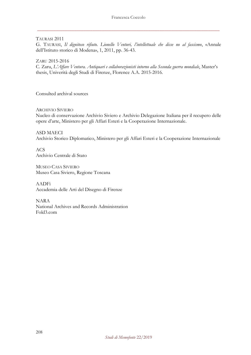TAURASI 2011

G. TAURASI, *Il dignitoso rifiuto. Lionello Venturi, l'intellettuale che disse no al fascismo*, «Annale dell'Istituto storico di Modena», 1, 2011, pp. 36-43.

ZARU 2015-2016

C. Zaru, *L'Affare Ventura. Antiquari e collaborazionisti intorno alla Seconda guerra mondiale*, Master's thesis, Univerità degli Studi di Firenze, Florence A.A. 2015-2016.

Consulted archival sources

#### ARCHIVIO SIVIERO

Nucleo di conservazione Archivio Siviero e Archivio Delegazione Italiana per il recupero delle opere d'arte, Ministero per gli Affari Esteri e la Cooperazione Internazionale.

ASD MAECI Archivio Storico Diplomatico, Ministero per gli Affari Esteri e la Cooperazione Internazionale

ACS Archivio Centrale di Stato

MUSEO CASA SIVIERO Museo Casa Siviero, Regione Toscana

AADFi Accademia delle Arti del Disegno di Firenze

NARA National Archives and Records Administration Fold3.com